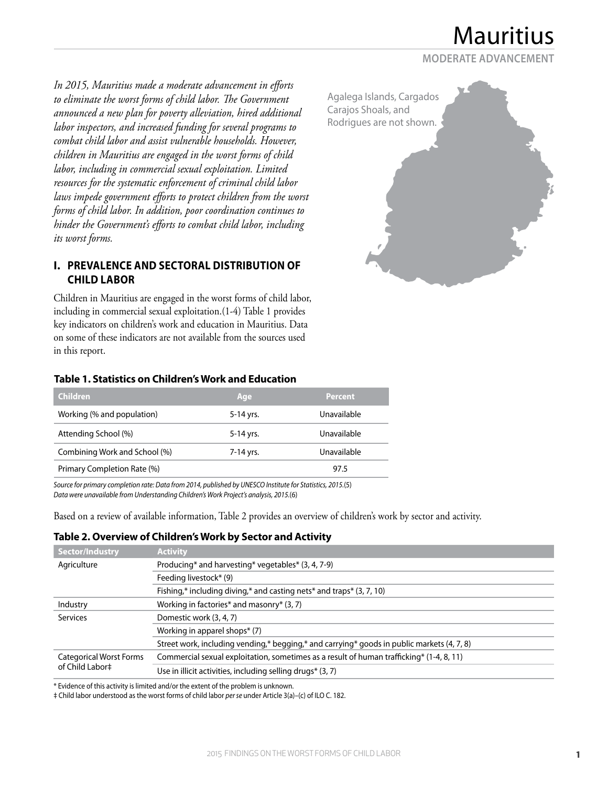**MODERATE ADVANCEMENT**

*In 2015, Mauritius made a moderate advancement in efforts to eliminate the worst forms of child labor. The Government announced a new plan for poverty alleviation, hired additional labor inspectors, and increased funding for several programs to combat child labor and assist vulnerable households. However, children in Mauritius are engaged in the worst forms of child labor, including in commercial sexual exploitation. Limited resources for the systematic enforcement of criminal child labor laws impede government efforts to protect children from the worst forms of child labor. In addition, poor coordination continues to hinder the Government's efforts to combat child labor, including its worst forms.*

## **I. PREVALENCE AND SECTORAL DISTRIBUTION OF CHILD LABOR**

Children in Mauritius are engaged in the worst forms of child labor, including in commercial sexual exploitation.(1-4) Table 1 provides key indicators on children's work and education in Mauritius. Data on some of these indicators are not available from the sources used in this report.

#### **Table 1. Statistics on Children's Work and Education**

| <b>Children</b>               | Age       | <b>Percent</b> |
|-------------------------------|-----------|----------------|
| Working (% and population)    | 5-14 yrs. | Unavailable    |
| Attending School (%)          | 5-14 yrs. | Unavailable    |
| Combining Work and School (%) | 7-14 yrs. | Unavailable    |
| Primary Completion Rate (%)   |           | 97.5           |

*Source for primary completion rate: Data from 2014, published by UNESCO Institute for Statistics, 2015.*(5) *Data were unavailable from Understanding Children's Work Project's analysis, 2015.*(6)

Based on a review of available information, Table 2 provides an overview of children's work by sector and activity.

#### **Table 2. Overview of Children's Work by Sector and Activity**

| Sector/Industry                                   | <b>Activity</b>                                                                            |  |
|---------------------------------------------------|--------------------------------------------------------------------------------------------|--|
| Agriculture                                       | Producing* and harvesting* vegetables* (3, 4, 7-9)                                         |  |
|                                                   | Feeding livestock* (9)                                                                     |  |
|                                                   | Fishing,* including diving,* and casting nets* and traps* $(3, 7, 10)$                     |  |
| Industry                                          | Working in factories* and masonry* (3, 7)                                                  |  |
| <b>Services</b>                                   | Domestic work (3, 4, 7)                                                                    |  |
|                                                   | Working in apparel shops* (7)                                                              |  |
|                                                   | Street work, including vending,* begging,* and carrying* goods in public markets (4, 7, 8) |  |
| <b>Categorical Worst Forms</b><br>of Child Labor‡ | Commercial sexual exploitation, sometimes as a result of human trafficking* (1-4, 8, 11)   |  |
|                                                   | Use in illicit activities, including selling drugs* (3, 7)                                 |  |

\* Evidence of this activity is limited and/or the extent of the problem is unknown.

‡ Child labor understood as the worst forms of child labor *per se* under Article 3(a)–(c) of ILO C. 182.

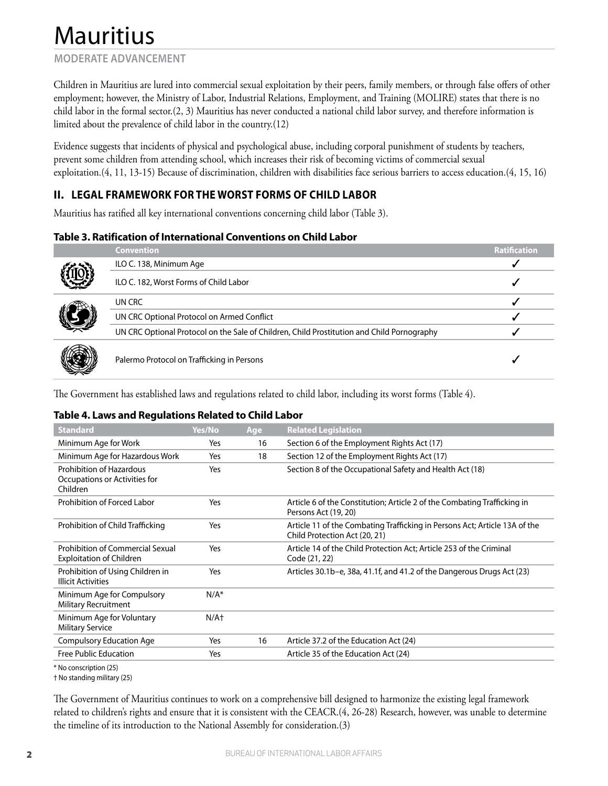## **MODERATE ADVANCEMENT**

Children in Mauritius are lured into commercial sexual exploitation by their peers, family members, or through false offers of other employment; however, the Ministry of Labor, Industrial Relations, Employment, and Training (MOLIRE) states that there is no child labor in the formal sector.(2, 3) Mauritius has never conducted a national child labor survey, and therefore information is limited about the prevalence of child labor in the country.(12)

Evidence suggests that incidents of physical and psychological abuse, including corporal punishment of students by teachers, prevent some children from attending school, which increases their risk of becoming victims of commercial sexual exploitation.(4, 11, 13-15) Because of discrimination, children with disabilities face serious barriers to access education.(4, 15, 16)

## **II. LEGAL FRAMEWORK FOR THE WORST FORMS OF CHILD LABOR**

Mauritius has ratified all key international conventions concerning child labor (Table 3).

#### **Table 3. Ratification of International Conventions on Child Labor**

|    | <b>Convention</b>                                                                          | <b>Ratification</b> |
|----|--------------------------------------------------------------------------------------------|---------------------|
|    | ILO C. 138, Minimum Age                                                                    |                     |
| Ì, | ILO C. 182, Worst Forms of Child Labor                                                     |                     |
|    | UN CRC                                                                                     |                     |
| I  | UN CRC Optional Protocol on Armed Conflict                                                 |                     |
|    | UN CRC Optional Protocol on the Sale of Children, Child Prostitution and Child Pornography |                     |
| X  | Palermo Protocol on Trafficking in Persons                                                 |                     |

The Government has established laws and regulations related to child labor, including its worst forms (Table 4).

### **Table 4. Laws and Regulations Related to Child Labor**

| <b>Standard</b>                                                              | Yes/No  | Age | <b>Related Legislation</b>                                                                                  |
|------------------------------------------------------------------------------|---------|-----|-------------------------------------------------------------------------------------------------------------|
| Minimum Age for Work                                                         | Yes     | 16  | Section 6 of the Employment Rights Act (17)                                                                 |
| Minimum Age for Hazardous Work                                               | Yes     | 18  | Section 12 of the Employment Rights Act (17)                                                                |
| <b>Prohibition of Hazardous</b><br>Occupations or Activities for<br>Children | Yes     |     | Section 8 of the Occupational Safety and Health Act (18)                                                    |
| Prohibition of Forced Labor                                                  | Yes     |     | Article 6 of the Constitution; Article 2 of the Combating Trafficking in<br>Persons Act (19, 20)            |
| Prohibition of Child Trafficking                                             | Yes     |     | Article 11 of the Combating Trafficking in Persons Act; Article 13A of the<br>Child Protection Act (20, 21) |
| Prohibition of Commercial Sexual<br><b>Exploitation of Children</b>          | Yes     |     | Article 14 of the Child Protection Act: Article 253 of the Criminal<br>Code (21, 22)                        |
| Prohibition of Using Children in<br><b>Illicit Activities</b>                | Yes     |     | Articles 30.1b-e, 38a, 41.1f, and 41.2 of the Dangerous Drugs Act (23)                                      |
| Minimum Age for Compulsory<br><b>Military Recruitment</b>                    | $N/A^*$ |     |                                                                                                             |
| Minimum Age for Voluntary<br><b>Military Service</b>                         | $N/A+$  |     |                                                                                                             |
| <b>Compulsory Education Age</b>                                              | Yes     | 16  | Article 37.2 of the Education Act (24)                                                                      |
| <b>Free Public Education</b>                                                 | Yes     |     | Article 35 of the Education Act (24)                                                                        |

\* No conscription (25)

† No standing military (25)

The Government of Mauritius continues to work on a comprehensive bill designed to harmonize the existing legal framework related to children's rights and ensure that it is consistent with the CEACR.(4, 26-28) Research, however, was unable to determine the timeline of its introduction to the National Assembly for consideration.(3)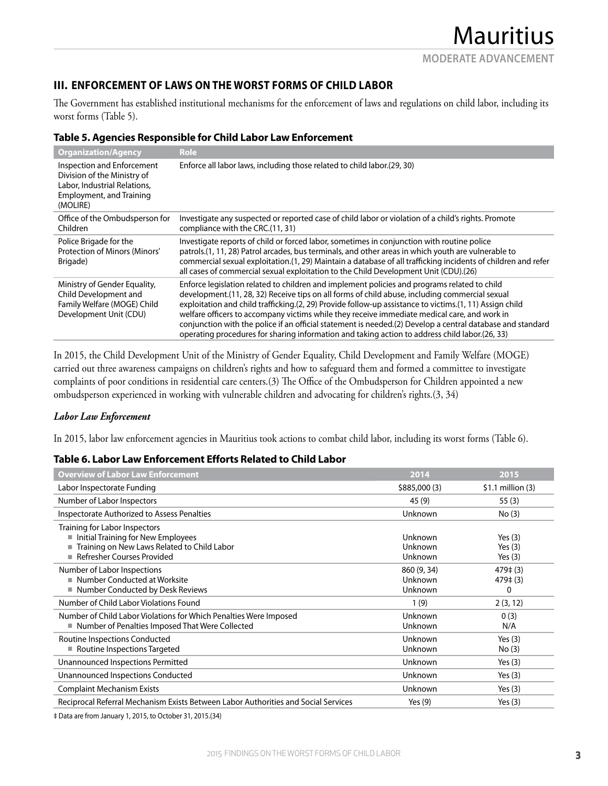## **III. ENFORCEMENT OF LAWS ON THE WORST FORMS OF CHILD LABOR**

The Government has established institutional mechanisms for the enforcement of laws and regulations on child labor, including its worst forms (Table 5).

| <b>Organization/Agency</b>                                                                                                        | <b>Role</b>                                                                                                                                                                                                                                                                                                                                                                                                                                                                                                                                                                                                                 |
|-----------------------------------------------------------------------------------------------------------------------------------|-----------------------------------------------------------------------------------------------------------------------------------------------------------------------------------------------------------------------------------------------------------------------------------------------------------------------------------------------------------------------------------------------------------------------------------------------------------------------------------------------------------------------------------------------------------------------------------------------------------------------------|
| Inspection and Enforcement<br>Division of the Ministry of<br>Labor, Industrial Relations,<br>Employment, and Training<br>(MOLIRE) | Enforce all labor laws, including those related to child labor.(29, 30)                                                                                                                                                                                                                                                                                                                                                                                                                                                                                                                                                     |
| Office of the Ombudsperson for<br>Children                                                                                        | Investigate any suspected or reported case of child labor or violation of a child's rights. Promote<br>compliance with the CRC.(11, 31)                                                                                                                                                                                                                                                                                                                                                                                                                                                                                     |
| Police Brigade for the<br>Protection of Minors (Minors'<br>Brigade)                                                               | Investigate reports of child or forced labor, sometimes in conjunction with routine police<br>patrols.(1, 11, 28) Patrol arcades, bus terminals, and other areas in which youth are vulnerable to<br>commercial sexual exploitation.(1, 29) Maintain a database of all trafficking incidents of children and refer<br>all cases of commercial sexual exploitation to the Child Development Unit (CDU).(26)                                                                                                                                                                                                                  |
| Ministry of Gender Equality,<br>Child Development and<br>Family Welfare (MOGE) Child<br>Development Unit (CDU)                    | Enforce legislation related to children and implement policies and programs related to child<br>development. (11, 28, 32) Receive tips on all forms of child abuse, including commercial sexual<br>exploitation and child trafficking.(2, 29) Provide follow-up assistance to victims.(1, 11) Assign child<br>welfare officers to accompany victims while they receive immediate medical care, and work in<br>conjunction with the police if an official statement is needed.(2) Develop a central database and standard<br>operating procedures for sharing information and taking action to address child labor. (26, 33) |

In 2015, the Child Development Unit of the Ministry of Gender Equality, Child Development and Family Welfare (MOGE) carried out three awareness campaigns on children's rights and how to safeguard them and formed a committee to investigate complaints of poor conditions in residential care centers.(3) The Office of the Ombudsperson for Children appointed a new ombudsperson experienced in working with vulnerable children and advocating for children's rights.(3, 34)

#### *Labor Law Enforcement*

In 2015, labor law enforcement agencies in Mauritius took actions to combat child labor, including its worst forms (Table 6).

#### **Table 6. Labor Law Enforcement Efforts Related to Child Labor**

| <b>Overview of Labor Law Enforcement</b>                                                                                                           | 2014                              | 2015                                |
|----------------------------------------------------------------------------------------------------------------------------------------------------|-----------------------------------|-------------------------------------|
| Labor Inspectorate Funding                                                                                                                         | \$885,000 (3)                     | $$1.1$ million (3)                  |
| Number of Labor Inspectors                                                                                                                         | 45 (9)                            | 55(3)                               |
| Inspectorate Authorized to Assess Penalties                                                                                                        | Unknown                           | No(3)                               |
| Training for Labor Inspectors<br>Initial Training for New Employees<br>Training on New Laws Related to Child Labor<br>■ Refresher Courses Provided | Unknown<br>Unknown<br>Unknown     | Yes $(3)$<br>Yes $(3)$<br>Yes $(3)$ |
| Number of Labor Inspections<br>Number Conducted at Worksite<br>■ Number Conducted by Desk Reviews                                                  | 860 (9, 34)<br>Unknown<br>Unknown | $479 \pm (3)$<br>479‡ (3)<br>0      |
| Number of Child Labor Violations Found                                                                                                             | 1(9)                              | 2(3, 12)                            |
| Number of Child Labor Violations for Which Penalties Were Imposed<br>■ Number of Penalties Imposed That Were Collected                             | Unknown<br>Unknown                | 0(3)<br>N/A                         |
| Routine Inspections Conducted<br>Routine Inspections Targeted                                                                                      | Unknown<br>Unknown                | Yes $(3)$<br>No(3)                  |
| Unannounced Inspections Permitted                                                                                                                  | Unknown                           | Yes $(3)$                           |
| Unannounced Inspections Conducted                                                                                                                  | Unknown                           | Yes $(3)$                           |
| <b>Complaint Mechanism Exists</b>                                                                                                                  | Unknown                           | Yes $(3)$                           |
| Reciprocal Referral Mechanism Exists Between Labor Authorities and Social Services                                                                 | Yes $(9)$                         | Yes $(3)$                           |

‡ Data are from January 1, 2015, to October 31, 2015.(34)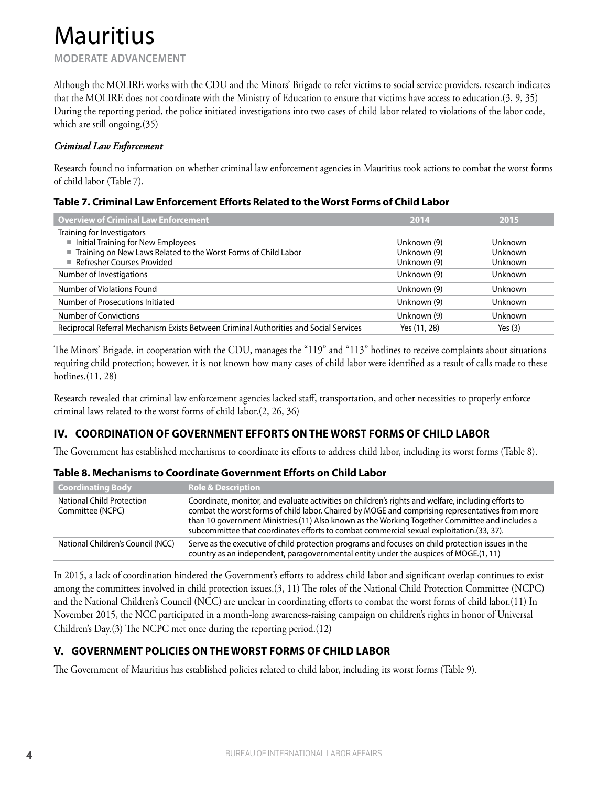#### **MODERATE ADVANCEMENT**

Although the MOLIRE works with the CDU and the Minors' Brigade to refer victims to social service providers, research indicates that the MOLIRE does not coordinate with the Ministry of Education to ensure that victims have access to education.(3, 9, 35) During the reporting period, the police initiated investigations into two cases of child labor related to violations of the labor code, which are still ongoing. (35)

#### *Criminal Law Enforcement*

Research found no information on whether criminal law enforcement agencies in Mauritius took actions to combat the worst forms of child labor (Table 7).

#### **Table 7. Criminal Law Enforcement Efforts Related to the Worst Forms of Child Labor**

| <b>Overview of Criminal Law Enforcement</b>                                           | 2014         | 2015           |
|---------------------------------------------------------------------------------------|--------------|----------------|
| Training for Investigators                                                            |              |                |
| Initial Training for New Employees                                                    | Unknown (9)  | <b>Unknown</b> |
| ■ Training on New Laws Related to the Worst Forms of Child Labor                      | Unknown (9)  | <b>Unknown</b> |
| Refresher Courses Provided                                                            | Unknown (9)  | Unknown        |
| Number of Investigations                                                              | Unknown (9)  | Unknown        |
| Number of Violations Found                                                            | Unknown (9)  | <b>Unknown</b> |
| Number of Prosecutions Initiated                                                      | Unknown (9)  | Unknown        |
| Number of Convictions                                                                 | Unknown (9)  | Unknown        |
| Reciprocal Referral Mechanism Exists Between Criminal Authorities and Social Services | Yes (11, 28) | Yes $(3)$      |

The Minors' Brigade, in cooperation with the CDU, manages the "119" and "113" hotlines to receive complaints about situations requiring child protection; however, it is not known how many cases of child labor were identified as a result of calls made to these hotlines.(11, 28)

Research revealed that criminal law enforcement agencies lacked staff, transportation, and other necessities to properly enforce criminal laws related to the worst forms of child labor.(2, 26, 36)

## **IV. COORDINATION OF GOVERNMENT EFFORTS ON THE WORST FORMS OF CHILD LABOR**

The Government has established mechanisms to coordinate its efforts to address child labor, including its worst forms (Table 8).

| Coordinating Body                                    | <b>Role &amp; Description</b>                                                                                                                                                                                                                                                                                                                                                                         |
|------------------------------------------------------|-------------------------------------------------------------------------------------------------------------------------------------------------------------------------------------------------------------------------------------------------------------------------------------------------------------------------------------------------------------------------------------------------------|
| <b>National Child Protection</b><br>Committee (NCPC) | Coordinate, monitor, and evaluate activities on children's rights and welfare, including efforts to<br>combat the worst forms of child labor. Chaired by MOGE and comprising representatives from more<br>than 10 government Ministries. (11) Also known as the Working Together Committee and includes a<br>subcommittee that coordinates efforts to combat commercial sexual exploitation.(33, 37). |
| National Children's Council (NCC)                    | Serve as the executive of child protection programs and focuses on child protection issues in the<br>country as an independent, paragovernmental entity under the auspices of MOGE. (1, 11)                                                                                                                                                                                                           |

**Table 8. Mechanisms to Coordinate Government Efforts on Child Labor**

In 2015, a lack of coordination hindered the Government's efforts to address child labor and significant overlap continues to exist among the committees involved in child protection issues.(3, 11) The roles of the National Child Protection Committee (NCPC) and the National Children's Council (NCC) are unclear in coordinating efforts to combat the worst forms of child labor.(11) In November 2015, the NCC participated in a month-long awareness-raising campaign on children's rights in honor of Universal Children's Day.(3) The NCPC met once during the reporting period.(12)

## **V. GOVERNMENT POLICIES ON THE WORST FORMS OF CHILD LABOR**

The Government of Mauritius has established policies related to child labor, including its worst forms (Table 9).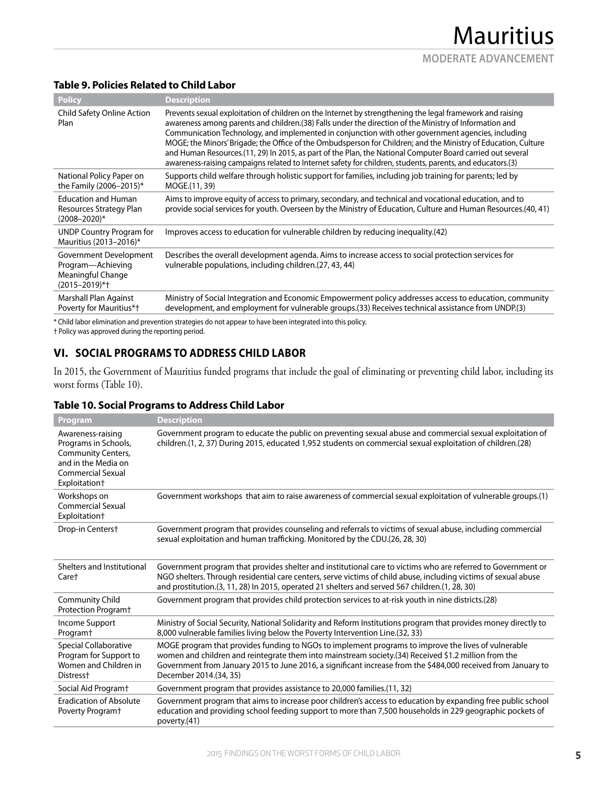## **Table 9. Policies Related to Child Labor**

| <b>Policy</b>                                                                         | <b>Description</b>                                                                                                                                                                                                                                                                                                                                                                                                                                                                                                                                                                                                                                                      |
|---------------------------------------------------------------------------------------|-------------------------------------------------------------------------------------------------------------------------------------------------------------------------------------------------------------------------------------------------------------------------------------------------------------------------------------------------------------------------------------------------------------------------------------------------------------------------------------------------------------------------------------------------------------------------------------------------------------------------------------------------------------------------|
| Child Safety Online Action<br>Plan                                                    | Prevents sexual exploitation of children on the Internet by strengthening the legal framework and raising<br>awareness among parents and children. (38) Falls under the direction of the Ministry of Information and<br>Communication Technology, and implemented in conjunction with other government agencies, including<br>MOGE; the Minors' Brigade; the Office of the Ombudsperson for Children; and the Ministry of Education, Culture<br>and Human Resources.(11, 29) In 2015, as part of the Plan, the National Computer Board carried out several<br>awareness-raising campaigns related to Internet safety for children, students, parents, and educators.(3) |
| National Policy Paper on<br>the Family (2006-2015)*                                   | Supports child welfare through holistic support for families, including job training for parents; led by<br>MOGE.(11, 39)                                                                                                                                                                                                                                                                                                                                                                                                                                                                                                                                               |
| <b>Education and Human</b><br>Resources Strategy Plan<br>$(2008 - 2020)^*$            | Aims to improve equity of access to primary, secondary, and technical and vocational education, and to<br>provide social services for youth. Overseen by the Ministry of Education, Culture and Human Resources.(40, 41)                                                                                                                                                                                                                                                                                                                                                                                                                                                |
| <b>UNDP Country Program for</b><br>Mauritius (2013-2016)*                             | Improves access to education for vulnerable children by reducing inequality.(42)                                                                                                                                                                                                                                                                                                                                                                                                                                                                                                                                                                                        |
| Government Development<br>Program-Achieving<br>Meaningful Change<br>$(2015 - 2019)*+$ | Describes the overall development agenda. Aims to increase access to social protection services for<br>vulnerable populations, including children. (27, 43, 44)                                                                                                                                                                                                                                                                                                                                                                                                                                                                                                         |
| Marshall Plan Against<br>Poverty for Mauritius*†                                      | Ministry of Social Integration and Economic Empowerment policy addresses access to education, community<br>development, and employment for vulnerable groups. (33) Receives technical assistance from UNDP. (3)                                                                                                                                                                                                                                                                                                                                                                                                                                                         |

\* Child labor elimination and prevention strategies do not appear to have been integrated into this policy.

† Policy was approved during the reporting period.

## **VI. SOCIAL PROGRAMS TO ADDRESS CHILD LABOR**

In 2015, the Government of Mauritius funded programs that include the goal of eliminating or preventing child labor, including its worst forms (Table 10).

#### **Table 10. Social Programs to Address Child Labor**

| <b>Program</b>                                                                                                               | <b>Description</b>                                                                                                                                                                                                                                                                                                                                     |
|------------------------------------------------------------------------------------------------------------------------------|--------------------------------------------------------------------------------------------------------------------------------------------------------------------------------------------------------------------------------------------------------------------------------------------------------------------------------------------------------|
| Awareness-raising<br>Programs in Schools,<br>Community Centers,<br>and in the Media on<br>Commercial Sexual<br>Exploitation+ | Government program to educate the public on preventing sexual abuse and commercial sexual exploitation of<br>children.(1, 2, 37) During 2015, educated 1,952 students on commercial sexual exploitation of children.(28)                                                                                                                               |
| Workshops on<br>Commercial Sexual<br>Exploitation+                                                                           | Government workshops that aim to raise awareness of commercial sexual exploitation of vulnerable groups.(1)                                                                                                                                                                                                                                            |
| Drop-in Centers+                                                                                                             | Government program that provides counseling and referrals to victims of sexual abuse, including commercial<br>sexual exploitation and human trafficking. Monitored by the CDU.(26, 28, 30)                                                                                                                                                             |
| Shelters and Institutional<br>Care†                                                                                          | Government program that provides shelter and institutional care to victims who are referred to Government or<br>NGO shelters. Through residential care centers, serve victims of child abuse, including victims of sexual abuse<br>and prostitution.(3, 11, 28) In 2015, operated 21 shelters and served 567 children.(1, 28, 30)                      |
| <b>Community Child</b><br>Protection Program <sup>+</sup>                                                                    | (28).Government program that provides child protection services to at-risk youth in nine districts                                                                                                                                                                                                                                                     |
| Income Support<br>Program <sup>+</sup>                                                                                       | Ministry of Social Security, National Solidarity and Reform Institutions program that provides money directly to<br>8,000 vulnerable families living below the Poverty Intervention Line. (32, 33)                                                                                                                                                     |
| Special Collaborative<br>Program for Support to<br>Women and Children in<br>Distress <sup>+</sup>                            | MOGE program that provides funding to NGOs to implement programs to improve the lives of vulnerable<br>women and children and reintegrate them into mainstream society.(34) Received \$1.2 million from the<br>Government from January 2015 to June 2016, a significant increase from the \$484,000 received from January to<br>December 2014.(34, 35) |
| Social Aid Programt                                                                                                          | Government program that provides assistance to 20,000 families.(11, 32)                                                                                                                                                                                                                                                                                |
| <b>Eradication of Absolute</b><br>Poverty Program <sup>+</sup>                                                               | Government program that aims to increase poor children's access to education by expanding free public school<br>education and providing school feeding support to more than 7,500 households in 229 geographic pockets of<br>poverty.(41)                                                                                                              |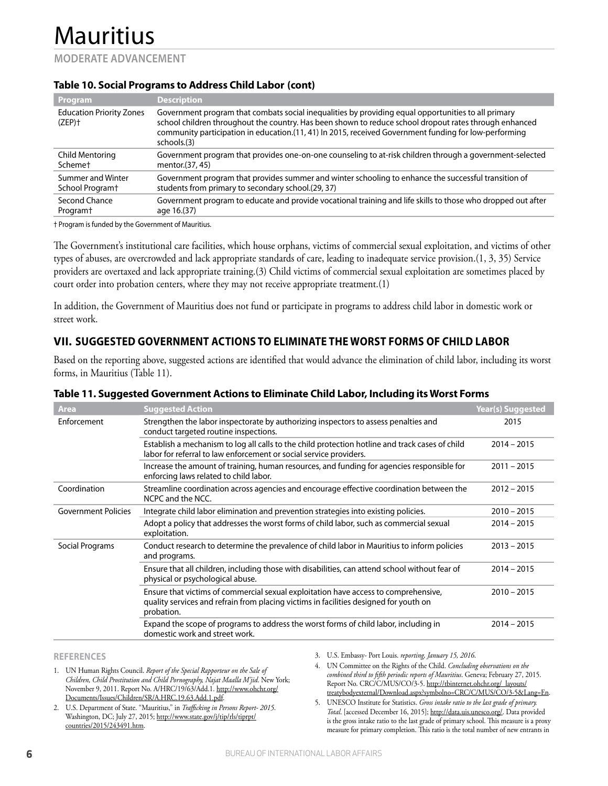#### **MODERATE ADVANCEMENT**

#### **Table 10. Social Programs to Address Child Labor (cont)**

| Program                                      | <b>Description</b>                                                                                                                                                                                                                                                                                                                    |
|----------------------------------------------|---------------------------------------------------------------------------------------------------------------------------------------------------------------------------------------------------------------------------------------------------------------------------------------------------------------------------------------|
| <b>Education Priority Zones</b><br>$(ZEP)$ † | Government program that combats social inequalities by providing equal opportunities to all primary<br>school children throughout the country. Has been shown to reduce school dropout rates through enhanced<br>community participation in education.(11, 41) In 2015, received Government funding for low-performing<br>schools.(3) |
| Child Mentoring                              | Government program that provides one-on-one counseling to at-risk children through a government-selected                                                                                                                                                                                                                              |
| Schemet                                      | mentor. (37, 45)                                                                                                                                                                                                                                                                                                                      |
| Summer and Winter                            | Government program that provides summer and winter schooling to enhance the successful transition of                                                                                                                                                                                                                                  |
| School Program <sup>+</sup>                  | students from primary to secondary school.(29, 37)                                                                                                                                                                                                                                                                                    |
| Second Chance                                | Government program to educate and provide vocational training and life skills to those who dropped out after                                                                                                                                                                                                                          |
| Program <sup>+</sup>                         | age 16.(37)                                                                                                                                                                                                                                                                                                                           |

† Program is funded by the Government of Mauritius.

The Government's institutional care facilities, which house orphans, victims of commercial sexual exploitation, and victims of other types of abuses, are overcrowded and lack appropriate standards of care, leading to inadequate service provision.(1, 3, 35) Service providers are overtaxed and lack appropriate training.(3) Child victims of commercial sexual exploitation are sometimes placed by court order into probation centers, where they may not receive appropriate treatment.(1)

In addition, the Government of Mauritius does not fund or participate in programs to address child labor in domestic work or street work.

## **VII. SUGGESTED GOVERNMENT ACTIONS TO ELIMINATE THE WORST FORMS OF CHILD LABOR**

Based on the reporting above, suggested actions are identified that would advance the elimination of child labor, including its worst forms, in Mauritius (Table 11).

| <b>Area</b>                | <b>Suggested Action</b>                                                                                                                                                                    | <b>Year(s) Suggested</b> |
|----------------------------|--------------------------------------------------------------------------------------------------------------------------------------------------------------------------------------------|--------------------------|
| Enforcement                | Strengthen the labor inspectorate by authorizing inspectors to assess penalties and<br>conduct targeted routine inspections.                                                               | 2015                     |
|                            | Establish a mechanism to log all calls to the child protection hotline and track cases of child<br>labor for referral to law enforcement or social service providers.                      | $2014 - 2015$            |
|                            | Increase the amount of training, human resources, and funding for agencies responsible for<br>enforcing laws related to child labor.                                                       | $2011 - 2015$            |
| Coordination               | Streamline coordination across agencies and encourage effective coordination between the<br>NCPC and the NCC.                                                                              | $2012 - 2015$            |
| <b>Government Policies</b> | Integrate child labor elimination and prevention strategies into existing policies.                                                                                                        | $2010 - 2015$            |
|                            | Adopt a policy that addresses the worst forms of child labor, such as commercial sexual<br>exploitation.                                                                                   | $2014 - 2015$            |
| Social Programs            | Conduct research to determine the prevalence of child labor in Mauritius to inform policies<br>and programs.                                                                               | $2013 - 2015$            |
|                            | Ensure that all children, including those with disabilities, can attend school without fear of<br>physical or psychological abuse.                                                         | $2014 - 2015$            |
|                            | Ensure that victims of commercial sexual exploitation have access to comprehensive,<br>quality services and refrain from placing victims in facilities designed for youth on<br>probation. | $2010 - 2015$            |
|                            | Expand the scope of programs to address the worst forms of child labor, including in<br>domestic work and street work.                                                                     | $2014 - 2015$            |

#### **Table 11. Suggested Government Actions to Eliminate Child Labor, Including its Worst Forms**

**REFERENCES**

- 1. UN Human Rights Council. *Report of the Special Rapporteur on the Sale of Children, Child Prostitution and Child Pornography, Najat Maalla M'jid*. New York; November 9, 2011. Report No. A/HRC/19/63/Add.1. http://www.ohchr.org/ Documents/Issues/Children/SR/A.HRC.19.63.Add.1.pdf.
- 2. U.S. Department of State. "Mauritius," in *Trafficking in Persons Report- 2015*. Washington, DC; July 27, 2015; http://www.state.gov/j/tip/rls/tiprpt/ countries/2015/243491.htm.
- 3. U.S. Embassy- Port Louis. *reporting, January 15, 2016*.
- 4. UN Committee on the Rights of the Child. *Concluding observations on the combined third to fifth periodic reports of Mauritius*. Geneva; February 27, 2015. Report No. CRC/C/MUS/CO/3-5. http://tbinternet.ohchr.org/\_layouts/ treatybodyexternal/Download.aspx?symbolno=CRC/C/MUS/CO/3-5&Lang=En.
- 5. UNESCO Institute for Statistics. *Gross intake ratio to the last grade of primary. Total*. [accessed December 16, 2015]; http://data.uis.unesco.org/. Data provided is the gross intake ratio to the last grade of primary school. This measure is a proxy measure for primary completion. This ratio is the total number of new entrants in